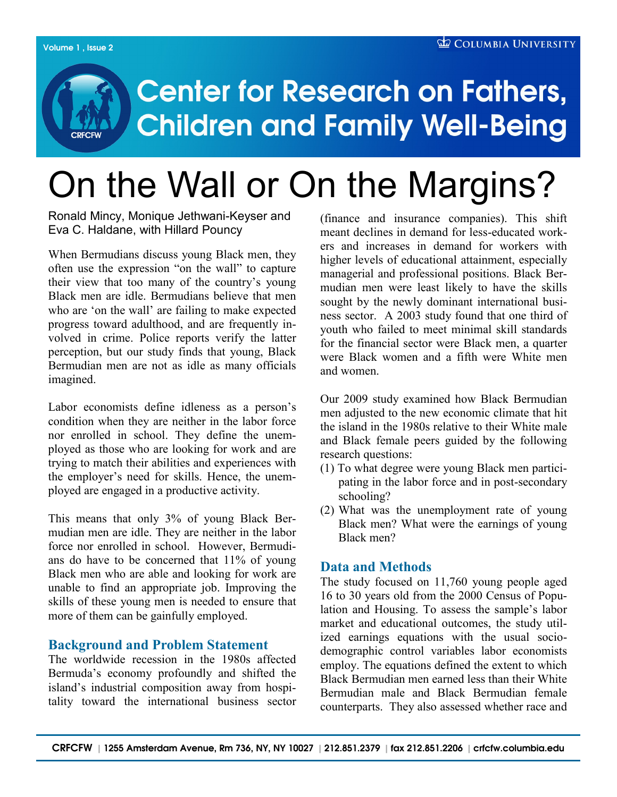# **Center for Research on Fathers, Children and Family Well-Being**

# On the Wall or On the Margins?

Ronald Mincy, Monique Jethwani-Keyser and Eva C. Haldane, with Hillard Pouncy

When Bermudians discuss young Black men, they often use the expression "on the wall" to capture their view that too many of the country"s young Black men are idle. Bermudians believe that men who are 'on the wall' are failing to make expected progress toward adulthood, and are frequently involved in crime. Police reports verify the latter perception, but our study finds that young, Black Bermudian men are not as idle as many officials imagined.

Labor economists define idleness as a person's condition when they are neither in the labor force nor enrolled in school. They define the unemployed as those who are looking for work and are trying to match their abilities and experiences with the employer"s need for skills. Hence, the unemployed are engaged in a productive activity.

This means that only 3% of young Black Bermudian men are idle. They are neither in the labor force nor enrolled in school. However, Bermudians do have to be concerned that 11% of young Black men who are able and looking for work are unable to find an appropriate job. Improving the skills of these young men is needed to ensure that more of them can be gainfully employed.

## **Background and Problem Statement**

The worldwide recession in the 1980s affected Bermuda"s economy profoundly and shifted the island"s industrial composition away from hospitality toward the international business sector (finance and insurance companies). This shift meant declines in demand for less-educated workers and increases in demand for workers with higher levels of educational attainment, especially managerial and professional positions. Black Bermudian men were least likely to have the skills sought by the newly dominant international business sector. A 2003 study found that one third of youth who failed to meet minimal skill standards for the financial sector were Black men, a quarter were Black women and a fifth were White men and women.

Our 2009 study examined how Black Bermudian men adjusted to the new economic climate that hit the island in the 1980s relative to their White male and Black female peers guided by the following research questions:

- (1) To what degree were young Black men participating in the labor force and in post-secondary schooling?
- (2) What was the unemployment rate of young Black men? What were the earnings of young Black men?

## **Data and Methods**

The study focused on 11,760 young people aged 16 to 30 years old from the 2000 Census of Population and Housing. To assess the sample"s labor market and educational outcomes, the study utilized earnings equations with the usual sociodemographic control variables labor economists employ. The equations defined the extent to which Black Bermudian men earned less than their White Bermudian male and Black Bermudian female counterparts. They also assessed whether race and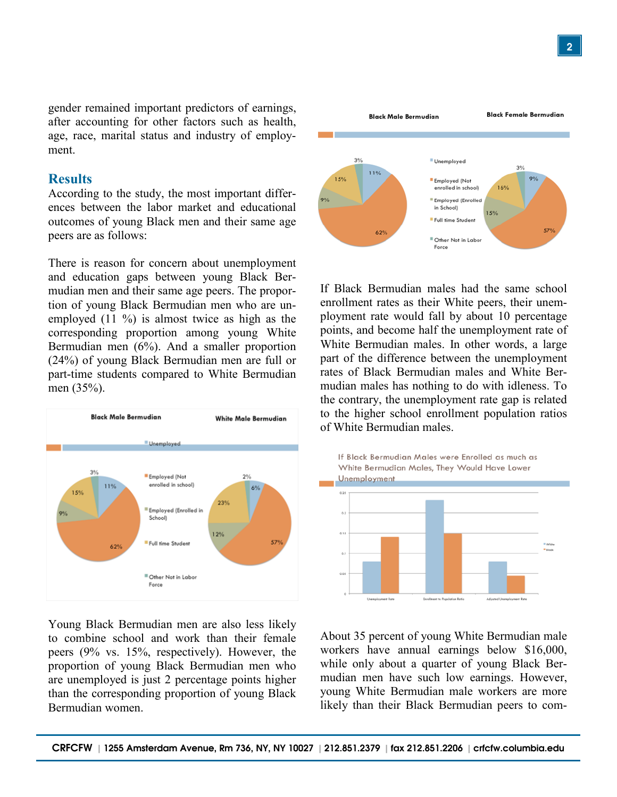2

gender remained important predictors of earnings, after accounting for other factors such as health, age, race, marital status and industry of employment.

#### **Results**

According to the study, the most important differences between the labor market and educational outcomes of young Black men and their same age peers are as follows:

There is reason for concern about unemployment and education gaps between young Black Bermudian men and their same age peers. The proportion of young Black Bermudian men who are unemployed (11 %) is almost twice as high as the corresponding proportion among young White Bermudian men (6%). And a smaller proportion (24%) of young Black Bermudian men are full or part-time students compared to White Bermudian men (35%).



Young Black Bermudian men are also less likely to combine school and work than their female peers (9% vs. 15%, respectively). However, the proportion of young Black Bermudian men who are unemployed is just 2 percentage points higher than the corresponding proportion of young Black Bermudian women.



If Black Bermudian males had the same school enrollment rates as their White peers, their unemployment rate would fall by about 10 percentage points, and become half the unemployment rate of White Bermudian males. In other words, a large part of the difference between the unemployment rates of Black Bermudian males and White Bermudian males has nothing to do with idleness. To the contrary, the unemployment rate gap is related to the higher school enrollment population ratios of White Bermudian males.



About 35 percent of young White Bermudian male workers have annual earnings below \$16,000, while only about a quarter of young Black Bermudian men have such low earnings. However, young White Bermudian male workers are more likely than their Black Bermudian peers to com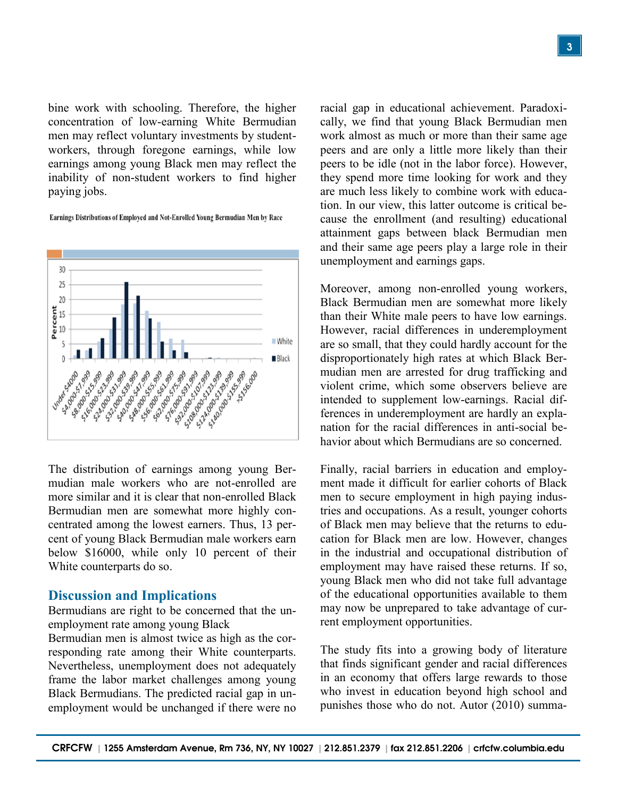bine work with schooling. Therefore, the higher concentration of low-earning White Bermudian men may reflect voluntary investments by studentworkers, through foregone earnings, while low earnings among young Black men may reflect the inability of non-student workers to find higher paying jobs.

Earnings Distributions of Employed and Not-Enrolled Young Bermudian Men by Race



The distribution of earnings among young Bermudian male workers who are not-enrolled are more similar and it is clear that non-enrolled Black Bermudian men are somewhat more highly concentrated among the lowest earners. Thus, 13 percent of young Black Bermudian male workers earn below \$16000, while only 10 percent of their White counterparts do so.

#### **Discussion and Implications**

Bermudians are right to be concerned that the unemployment rate among young Black

Bermudian men is almost twice as high as the corresponding rate among their White counterparts. Nevertheless, unemployment does not adequately frame the labor market challenges among young Black Bermudians. The predicted racial gap in unemployment would be unchanged if there were no

racial gap in educational achievement. Paradoxically, we find that young Black Bermudian men work almost as much or more than their same age peers and are only a little more likely than their peers to be idle (not in the labor force). However, they spend more time looking for work and they are much less likely to combine work with education. In our view, this latter outcome is critical because the enrollment (and resulting) educational attainment gaps between black Bermudian men and their same age peers play a large role in their unemployment and earnings gaps.

Moreover, among non-enrolled young workers, Black Bermudian men are somewhat more likely than their White male peers to have low earnings. However, racial differences in underemployment are so small, that they could hardly account for the disproportionately high rates at which Black Bermudian men are arrested for drug trafficking and violent crime, which some observers believe are intended to supplement low-earnings. Racial differences in underemployment are hardly an explanation for the racial differences in anti-social behavior about which Bermudians are so concerned.

Finally, racial barriers in education and employment made it difficult for earlier cohorts of Black men to secure employment in high paying industries and occupations. As a result, younger cohorts of Black men may believe that the returns to education for Black men are low. However, changes in the industrial and occupational distribution of employment may have raised these returns. If so, young Black men who did not take full advantage of the educational opportunities available to them may now be unprepared to take advantage of current employment opportunities.

The study fits into a growing body of literature that finds significant gender and racial differences in an economy that offers large rewards to those who invest in education beyond high school and punishes those who do not. Autor (2010) summa